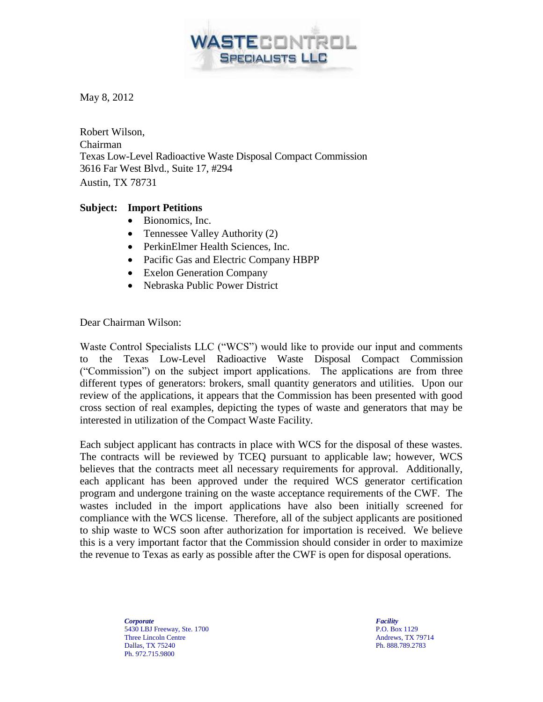May 8, 2012

Robert Wilson, Chairman Texas Low-Level Radioactive Waste Disposal Compact Commission 3616 Far West Blvd., Suite 17, #294 Austin, TX 78731

## **Subject: Import Petitions**

- Bionomics, Inc.
- Tennessee Valley Authority (2)
- PerkinElmer Health Sciences, Inc.
- Pacific Gas and Electric Company HBPP
- Exelon Generation Company
- Nebraska Public Power District

Dear Chairman Wilson:

Waste Control Specialists LLC ("WCS") would like to provide our input and comments to the Texas Low-Level Radioactive Waste Disposal Compact Commission ("Commission") on the subject import applications. The applications are from three different types of generators: brokers, small quantity generators and utilities. Upon our review of the applications, it appears that the Commission has been presented with good cross section of real examples, depicting the types of waste and generators that may be interested in utilization of the Compact Waste Facility.

ASTECONTROL

**SPECIALISTS LLC** 

Each subject applicant has contracts in place with WCS for the disposal of these wastes. The contracts will be reviewed by TCEQ pursuant to applicable law; however, WCS believes that the contracts meet all necessary requirements for approval. Additionally, each applicant has been approved under the required WCS generator certification program and undergone training on the waste acceptance requirements of the CWF. The wastes included in the import applications have also been initially screened for compliance with the WCS license. Therefore, all of the subject applicants are positioned to ship waste to WCS soon after authorization for importation is received. We believe this is a very important factor that the Commission should consider in order to maximize the revenue to Texas as early as possible after the CWF is open for disposal operations.

> *Corporate* 5430 LBJ Freeway, Ste. 1700 Three Lincoln Centre Dallas, TX 75240 Ph. 972.715.9800

*Facility* P.O. Box 1129 Andrews, TX 79714 Ph. 888.789.2783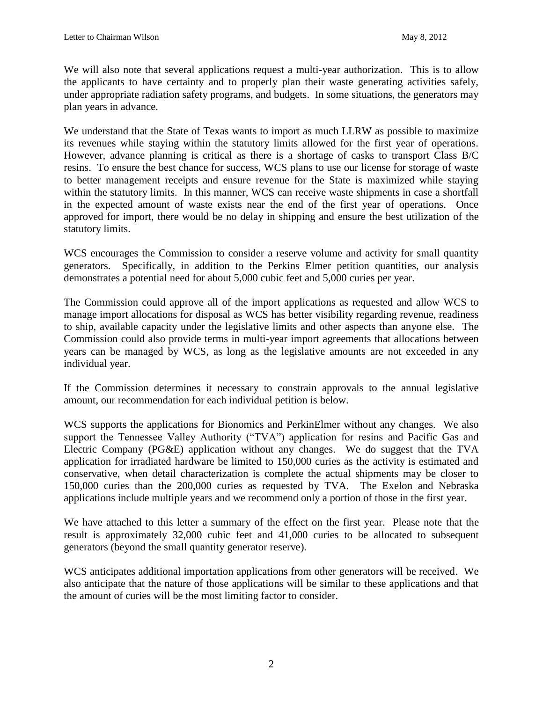We will also note that several applications request a multi-year authorization. This is to allow the applicants to have certainty and to properly plan their waste generating activities safely, under appropriate radiation safety programs, and budgets. In some situations, the generators may plan years in advance.

We understand that the State of Texas wants to import as much LLRW as possible to maximize its revenues while staying within the statutory limits allowed for the first year of operations. However, advance planning is critical as there is a shortage of casks to transport Class B/C resins. To ensure the best chance for success, WCS plans to use our license for storage of waste to better management receipts and ensure revenue for the State is maximized while staying within the statutory limits. In this manner, WCS can receive waste shipments in case a shortfall in the expected amount of waste exists near the end of the first year of operations. Once approved for import, there would be no delay in shipping and ensure the best utilization of the statutory limits.

WCS encourages the Commission to consider a reserve volume and activity for small quantity generators. Specifically, in addition to the Perkins Elmer petition quantities, our analysis demonstrates a potential need for about 5,000 cubic feet and 5,000 curies per year.

The Commission could approve all of the import applications as requested and allow WCS to manage import allocations for disposal as WCS has better visibility regarding revenue, readiness to ship, available capacity under the legislative limits and other aspects than anyone else. The Commission could also provide terms in multi-year import agreements that allocations between years can be managed by WCS, as long as the legislative amounts are not exceeded in any individual year.

If the Commission determines it necessary to constrain approvals to the annual legislative amount, our recommendation for each individual petition is below.

WCS supports the applications for Bionomics and PerkinElmer without any changes. We also support the Tennessee Valley Authority ("TVA") application for resins and Pacific Gas and Electric Company (PG&E) application without any changes. We do suggest that the TVA application for irradiated hardware be limited to 150,000 curies as the activity is estimated and conservative, when detail characterization is complete the actual shipments may be closer to 150,000 curies than the 200,000 curies as requested by TVA. The Exelon and Nebraska applications include multiple years and we recommend only a portion of those in the first year.

We have attached to this letter a summary of the effect on the first year. Please note that the result is approximately 32,000 cubic feet and 41,000 curies to be allocated to subsequent generators (beyond the small quantity generator reserve).

WCS anticipates additional importation applications from other generators will be received. We also anticipate that the nature of those applications will be similar to these applications and that the amount of curies will be the most limiting factor to consider.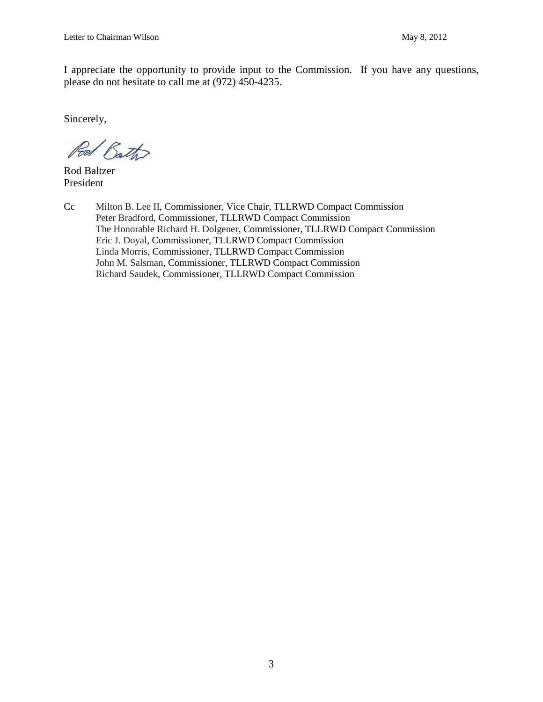I appreciate the opportunity to provide input to the Commission. If you have any questions, please do not hesitate to call me at (972) 450-4235.

Sincerely,

Pod Bath

Rod Baltzer President

Cc Milton B. Lee II, Commissioner, Vice Chair, TLLRWD Compact Commission Peter Bradford, Commissioner, TLLRWD Compact Commission The Honorable Richard H. Dolgener, Commissioner, TLLRWD Compact Commission Eric J. Doyal, Commissioner, TLLRWD Compact Commission Linda Morris, Commissioner, TLLRWD Compact Commission John M. Salsman, Commissioner, TLLRWD Compact Commission Richard Saudek, Commissioner, TLLRWD Compact Commission